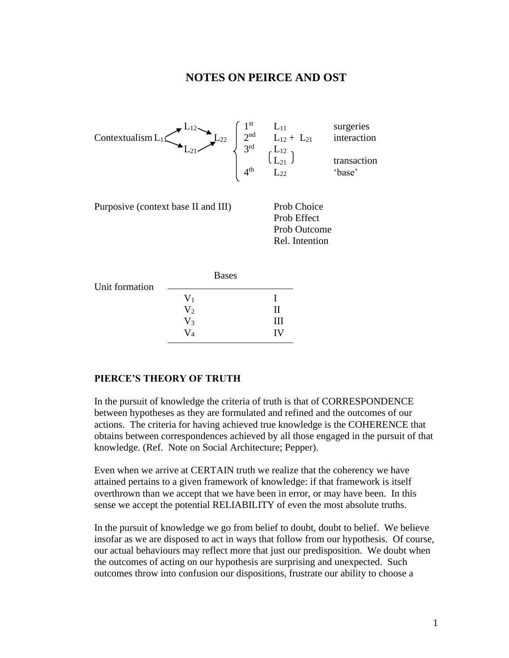## **NOTES ON PEIRCE AND OST**



| Unit formation | <b>Bases</b> |    |
|----------------|--------------|----|
|                | $\rm V_1$    |    |
|                | $\rm V_2$    | Н  |
|                | $\rm V_3$    | Ш  |
|                | $V_4$        | IV |

## **PIERCE'S THEORY OF TRUTH**

In the pursuit of knowledge the criteria of truth is that of CORRESPONDENCE between hypotheses as they are formulated and refined and the outcomes of our actions. The criteria for having achieved true knowledge is the COHERENCE that obtains between correspondences achieved by all those engaged in the pursuit of that knowledge. (Ref. Note on Social Architecture; Pepper).

Even when we arrive at CERTAIN truth we realize that the coherency we have attained pertains to a given framework of knowledge: if that framework is itself overthrown than we accept that we have been in error, or may have been. In this sense we accept the potential RELIABILITY of even the most absolute truths.

In the pursuit of knowledge we go from belief to doubt, doubt to belief. We believe insofar as we are disposed to act in ways that follow from our hypothesis. Of course, our actual behaviours may reflect more that just our predisposition. We doubt when the outcomes of acting on our hypothesis are surprising and unexpected. Such outcomes throw into confusion our dispositions, frustrate our ability to choose a